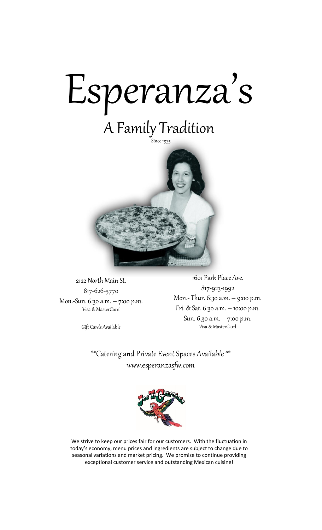

# A Family Tradition



2122 North Main St. 817-626-5770 Mon.-Sun. 6:30 a.m. – 7:00 p.m. Visa & MasterCard

Gift Cards Available

1601 Park Place Ave. 817-923-1992 Mon.- Thur. 6:30 a.m. – 9:00 p.m. Fri. & Sat. 6:30 a.m. – 10:00 p.m. Sun. 6:30 a.m. – 7:00 p.m. Visa & MasterCard

\*\*Catering and Private Event Spaces Available \*\* www.esperanzasfw.com



We strive to keep our prices fair for our customers. With the fluctuation in today's economy, menu prices and ingredients are subject to change due to seasonal variations and market pricing. We promise to continue providing exceptional customer service and outstanding Mexican cuisine!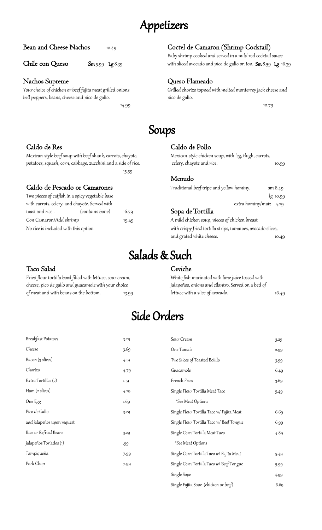### Appetizers

#### Nachos Supreme Queso Flameado

bell peppers, beans, cheese and pico de gallo. pico de gallo.

14.99 10.79

15.59

#### Bean and Cheese Nachos 10.49 Coctel de Camaron (Shrimp Cocktail)

Baby shrimp cooked and served in a mild red cocktail sauce Chile con Queso Sm 5.99 Lg 8.39 with sliced avocado and pico de gallo on top. Sm 8.59 Lg 16.39

Your choice of chicken or beef fajita meat grilled onions Grilled chorizo topped with melted monterrey jack cheese and

### Soups

#### Caldo de Res Caldo de Pollo

Mexican-style beef soup with beef shank, carrots, chayote, Mexican-style chicken soup, with leg, thigh, carrots, potatoes, squash, corn, cabbage, zucchini and a side of rice. celery, chayote and rice. 10.99

#### Menudo

Caldo de Pescado or Camarones Traditional beef tripe and yellow hominy. Sam 8.49 Two pieces of catfish in a spicy vegetable base lg 10.99 with carrots, celery, and chayote. Served with extra hominy/maiz 4.29 toast and rice . (contains bone) 16.79 Sopa de Tortilla

#### Con Camaron/Add shrimp 19.49 A mild chicken soup, pieces of chicken breast No rice is included with this option with crispy fried tortilla strips, tomatoes, avocado slices, and grated white cheese. The control of the state of the state of the state of the state of the state of the s

## Salads & Such

#### Taco Salad Ceviche

cheese, pico de gallo and guacamole with your choice jalapeños, onions and cilantro. Served on a bed of of meat and with beans on the bottom. 13.99 lettuce with a slice of avocado. 16.49

Fried flour tortilla bowl filled with lettuce, sour cream, White fish marinated with lime juice tossed with

### Side Orders

| <b>Breakfast Potatoes</b>  | 3.29                                   | Sour Cream                                | 3.29 |
|----------------------------|----------------------------------------|-------------------------------------------|------|
| Cheese                     | 3.69                                   | One Tamale                                | 2.99 |
| Bacon (3 slices)           | 4.19                                   | Two Slices of Toasted Bolillo             | 3.99 |
| Chorizo                    | 4.79                                   | Guacamole                                 | 6.49 |
| Extra Tortillas (2)        | 1.19                                   | French Fries                              | 3.69 |
| Ham (2 slices)             | 4.29                                   | Single Flour Tortilla Meat Taco           | 5.49 |
| One Egg                    | 1.69                                   | *See Meat Options                         |      |
| Pico de Gallo              | 3.29                                   | Single Flour Tortilla Taco w/ Fajita Meat | 6.69 |
| add jalapeños upon request |                                        | Single Flour Tortilla Taco w/ Beef Tongue | 6.99 |
| Rice or Refried Beans      | Single Corn Tortilla Meat Taco<br>3.29 |                                           | 4.89 |
| jalapeños Toriados (1)     | .99                                    | *See Meat Options                         |      |
| Tampiqueña                 | 7.99                                   | Single Corn Tortilla Taco w/ Fajita Meat  | 5.49 |
| Pork Chop                  | 7.99                                   | Single Corn Tortilla Taco w/ Beef Tongue  | 5.99 |
|                            |                                        | Single Sope                               | 4.99 |
|                            |                                        | Single Fajita Sope (chicken or beef)      | 6.69 |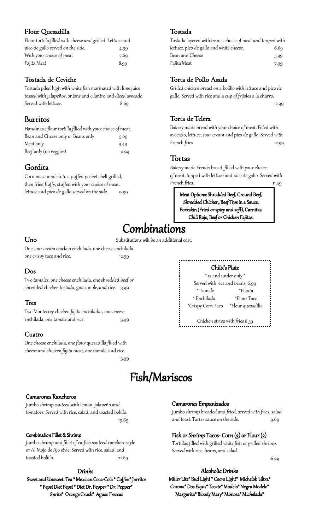#### Flour Quesadilla

| Flour tortilla filled with cheese and grilled. Lettuce and |      |
|------------------------------------------------------------|------|
| pico de gallo served on the side.                          | 4.99 |
| With your choice of meat                                   | 7.69 |
| Fajita Meat                                                | 8.99 |

#### Tostada de Ceviche

Tostada piled high with white fish marinated with lime juice tossed with jalapeños, onions and cilantro and diced avocado. Served with lettuce. 8.69

#### Burritos

| Handmade flour tortilla filled with your choice of meat. |       |
|----------------------------------------------------------|-------|
| Bean and Cheese only or Beans only                       | 5.09  |
| Meat only                                                | 9.49  |
| Beef only (no veggies)                                   | 10.99 |

#### Gordita

Corn masa made into a puffed pocket shell grilled, then fried fluffy, stuffed with your choice of meat. lettuce and pico de gallo served on the side. 9.99

#### Tostada

| Tostada layered with beans, choice of meat and topped with |      |
|------------------------------------------------------------|------|
| lettuce, pico de gallo and white cheese.                   | 6.69 |
| Bean and Cheese                                            | 5.99 |
| Fajita Meat                                                | 7.99 |

#### Torta de Pollo Asada

Grilled chicken breast on a bolillo with lettuce and pico de gallo. Served with rice and a cup of frijoles a la charro.

12.99

#### Torta de Telera

Bakery made bread with your choice of meat. Filled with avocado, lettuce, sour cream and pico de gallo. Served with French fries 12.99

#### Tortas

Bakery made French bread, filled with your choice of meat, topped with lettuce and pico de gallo. Served with French fries. 11.49

Meat Options: Shredded Beef, Ground Beef, Shredded Chicken, Beef Tips in a Sauce, Porkskin (Fried or spicy and soft), Carnitas, Chili Rojo, Beef or Chicken Fajitas.

### Combinations

Uno Substitutions will be an additional cost.

One sour cream chicken enchilada. one cheese enchilada, one crispy taco and rice. 12.99

#### Dos

Two tamales, one cheese enchilada, one shredded beef or shredded chicken tostada, guacamole, and rice. 13.99

#### Tres

Two Monterrey chicken fajita enchiladas, one cheese enchilada, one tamale and rice. 13.99

#### Cuatro

One cheese enchilada, one flour quesadilla filled with cheese and chicken fajita meat, one tamale, and rice.

13.99

#### Child's Plate \* 12 and under only \* Served with rice and beans. 6.99 \* Tamale \*Flauta \* Enchilada \*Flour Taco \*Crispy Corn Taco \*Flour quesadilla

.......................

Chicken strips with fries 8.39

### Fish/Mariscos

#### Camarones Rancheros

Jumbo shrimp sauteed with lemon, jalapeño and tomatoes. Served with rice, salad, and toasted bolillo. 19.69

#### Combination Fillet & Shrimp

Jumbo shrimp and fillet of catfish sauteed ranchero style or Al Mojo de Ajo style. Served with rice, salad, and toasted bolillo. 21.69

#### Drinks:

Sweet and Unsweet Tea \* Mexican Coca-Cola \* Coffee \* Jarritos \* Pepsi Diet Pepsi \* Diet Dr. Pepper \* Dr. Pepper\* Sprite\* Orange Crush\* Aguas Frescas

#### Camarones Empanizados

Jumbo shrimp breaded and fried, served with fries, salad and toast. Tarter sauce on the side. 19.69

#### Fish or Shrimp Tacos- Corn (3) or Flour (2)

Tortillas filled with grilled white fish or grilled shrimp. Served with rice, beans, and salad.

16.99

#### Alcoholic Drinks

Miller Lite\* Bud Light \* Coors Light\* Michelob Ultra\* Corona\* Dos Equis\* Tecate\* Modelo\* Negra Modelo\* Margarita\* Bloody Mary\* Mimosa\* Michelada\*